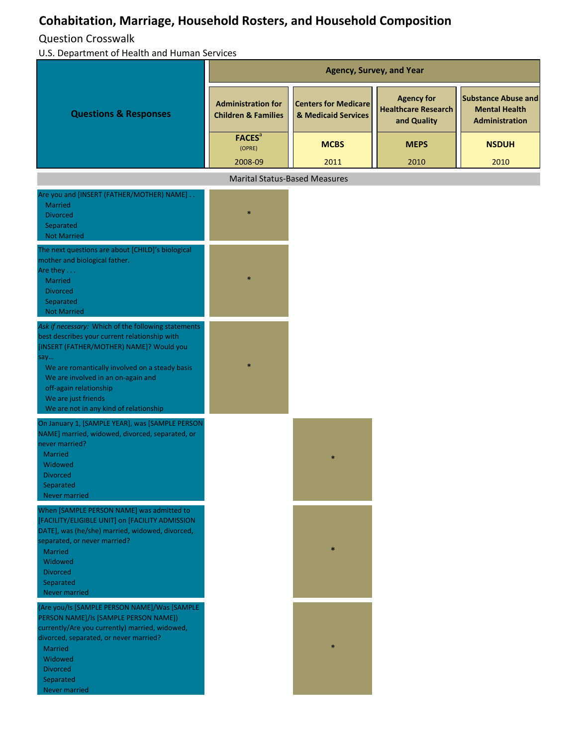## **Cohabitation, Marriage, Household Rosters, and Household Composition**

Question Crosswalk

| U.S. Department of Health and Human Services                                                                                                                                                                                                                                                                                               |                                                             |                                                    |                                                                |                                                                             |  |
|--------------------------------------------------------------------------------------------------------------------------------------------------------------------------------------------------------------------------------------------------------------------------------------------------------------------------------------------|-------------------------------------------------------------|----------------------------------------------------|----------------------------------------------------------------|-----------------------------------------------------------------------------|--|
|                                                                                                                                                                                                                                                                                                                                            | <b>Agency, Survey, and Year</b>                             |                                                    |                                                                |                                                                             |  |
| <b>Questions &amp; Responses</b>                                                                                                                                                                                                                                                                                                           | <b>Administration for</b><br><b>Children &amp; Families</b> | <b>Centers for Medicare</b><br>& Medicaid Services | <b>Agency for</b><br><b>Healthcare Research</b><br>and Quality | <b>Substance Abuse and</b><br><b>Mental Health</b><br><b>Administration</b> |  |
|                                                                                                                                                                                                                                                                                                                                            | <b>FACES</b> <sup>a</sup><br>(OPRE)<br>2008-09              | <b>MCBS</b><br>2011                                | <b>MEPS</b><br>2010                                            | <b>NSDUH</b><br>2010                                                        |  |
|                                                                                                                                                                                                                                                                                                                                            | <b>Marital Status-Based Measures</b>                        |                                                    |                                                                |                                                                             |  |
| Are you and [INSERT (FATHER/MOTHER) NAME]                                                                                                                                                                                                                                                                                                  |                                                             |                                                    |                                                                |                                                                             |  |
| <b>Married</b><br><b>Divorced</b><br>Separated<br><b>Not Married</b>                                                                                                                                                                                                                                                                       | $\ast$                                                      |                                                    |                                                                |                                                                             |  |
| The next questions are about [CHILD]'s biological<br>mother and biological father.<br>Are they $\dots$<br><b>Married</b><br><b>Divorced</b><br>Separated<br><b>Not Married</b>                                                                                                                                                             | $\ast$                                                      |                                                    |                                                                |                                                                             |  |
| Ask if necessary: Which of the following statements<br>best describes your current relationship with<br>[INSERT (FATHER/MOTHER) NAME]? Would you<br>say<br>We are romantically involved on a steady basis<br>We are involved in an on-again and<br>off-again relationship<br>We are just friends<br>We are not in any kind of relationship |                                                             |                                                    |                                                                |                                                                             |  |
| On January 1, [SAMPLE YEAR], was [SAMPLE PERSON                                                                                                                                                                                                                                                                                            |                                                             |                                                    |                                                                |                                                                             |  |
| NAME] married, widowed, divorced, separated, or<br>never married?<br><b>Married</b><br>Widowed<br><b>Divorced</b><br>Separated<br><b>Never married</b>                                                                                                                                                                                     |                                                             |                                                    |                                                                |                                                                             |  |
| When [SAMPLE PERSON NAME] was admitted to<br>[FACILITY/ELIGIBLE UNIT] on [FACILITY ADMISSION<br>DATE], was (he/she) married, widowed, divorced,<br>separated, or never married?<br>Married<br>Widowed<br><b>Divorced</b><br>Separated<br>Never married                                                                                     |                                                             |                                                    |                                                                |                                                                             |  |
| (Are you/Is [SAMPLE PERSON NAME]/Was [SAMPLE<br>PERSON NAME]/Is [SAMPLE PERSON NAME])<br>currently/Are you currently) married, widowed,<br>divorced, separated, or never married?<br>Married<br>Widowed<br><b>Divorced</b><br>Separated<br>Never married                                                                                   |                                                             |                                                    |                                                                |                                                                             |  |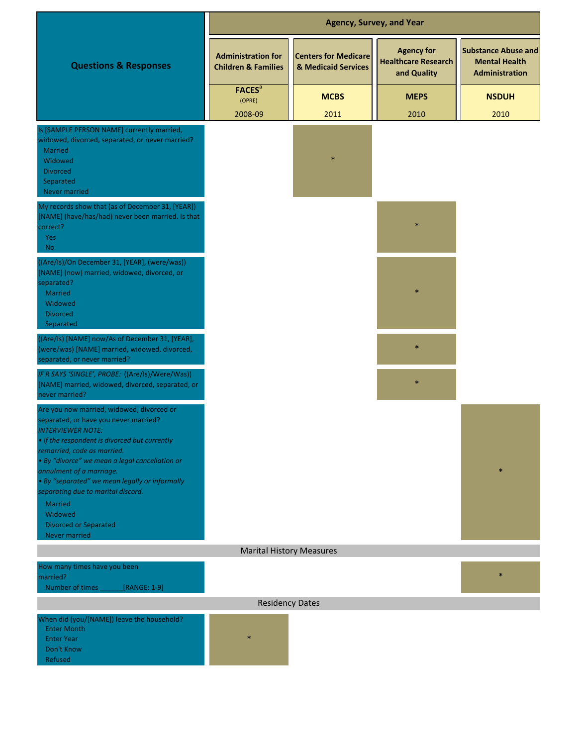|                                                                                                                                                                                                                                                                                                                                                                                        | <b>Agency, Survey, and Year</b>                             |                                                    |                                                                |                                                                      |  |
|----------------------------------------------------------------------------------------------------------------------------------------------------------------------------------------------------------------------------------------------------------------------------------------------------------------------------------------------------------------------------------------|-------------------------------------------------------------|----------------------------------------------------|----------------------------------------------------------------|----------------------------------------------------------------------|--|
| <b>Questions &amp; Responses</b>                                                                                                                                                                                                                                                                                                                                                       | <b>Administration for</b><br><b>Children &amp; Families</b> | <b>Centers for Medicare</b><br>& Medicaid Services | <b>Agency for</b><br><b>Healthcare Research</b><br>and Quality | <b>Substance Abuse and</b><br><b>Mental Health</b><br>Administration |  |
|                                                                                                                                                                                                                                                                                                                                                                                        | <b>FACES</b> <sup>a</sup><br>(OPRE)                         | <b>MCBS</b>                                        | <b>MEPS</b>                                                    | <b>NSDUH</b>                                                         |  |
|                                                                                                                                                                                                                                                                                                                                                                                        | 2008-09                                                     | 2011                                               | 2010                                                           | 2010                                                                 |  |
| Is [SAMPLE PERSON NAME] currently married,<br>widowed, divorced, separated, or never married?<br>Married<br>Widowed<br><b>Divorced</b><br>Separated<br>Never married                                                                                                                                                                                                                   |                                                             |                                                    |                                                                |                                                                      |  |
| My records show that (as of December 31, [YEAR])<br>[NAME] (have/has/had) never been married. Is that<br>correct?<br>Yes<br><b>No</b>                                                                                                                                                                                                                                                  |                                                             |                                                    |                                                                |                                                                      |  |
| ((Are/Is)/On December 31, [YEAR], (were/was))<br>[NAME] (now) married, widowed, divorced, or<br>separated?<br>Married<br>Widowed<br><b>Divorced</b><br>Separated                                                                                                                                                                                                                       |                                                             |                                                    |                                                                |                                                                      |  |
| ((Are/Is) [NAME] now/As of December 31, [YEAR],<br>(were/was) [NAME] married, widowed, divorced,<br>separated, or never married?                                                                                                                                                                                                                                                       |                                                             |                                                    |                                                                |                                                                      |  |
| IF R SAYS 'SINGLE', PROBE: ((Are/Is)/Were/Was))<br>[NAME] married, widowed, divorced, separated, or<br>never married?                                                                                                                                                                                                                                                                  |                                                             |                                                    | $\ast$                                                         |                                                                      |  |
| Are you now married, widowed, divorced or<br>separated, or have you never married?<br><b>INTERVIEWER NOTE:</b><br>• If the respondent is divorced but currently<br>remarried, code as married.<br>· By "divorce" we mean a legal cancellation or<br>annulment of a marriage.<br>• By "separated" we mean legally or informally<br>separating due to marital discord.<br><b>Married</b> |                                                             |                                                    |                                                                |                                                                      |  |
| Widowed<br><b>Divorced or Separated</b><br><b>Never married</b>                                                                                                                                                                                                                                                                                                                        |                                                             |                                                    |                                                                |                                                                      |  |
|                                                                                                                                                                                                                                                                                                                                                                                        | <b>Marital History Measures</b>                             |                                                    |                                                                |                                                                      |  |
| How many times have you been                                                                                                                                                                                                                                                                                                                                                           |                                                             |                                                    |                                                                |                                                                      |  |
| married?<br>Number of times<br>[RANGE: $1-9$ ]                                                                                                                                                                                                                                                                                                                                         |                                                             |                                                    |                                                                | $\ast$                                                               |  |
|                                                                                                                                                                                                                                                                                                                                                                                        | <b>Residency Dates</b>                                      |                                                    |                                                                |                                                                      |  |
| When did (you/[NAME]) leave the household?<br><b>Enter Month</b><br><b>Enter Year</b><br>Don't Know<br>Refused                                                                                                                                                                                                                                                                         |                                                             |                                                    |                                                                |                                                                      |  |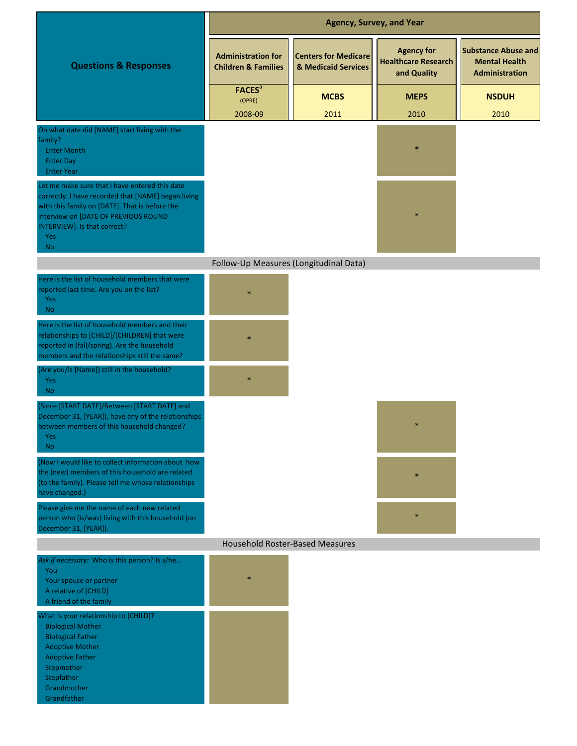|                                                                                                                                                                                                                                                            |                                                             | <b>Agency, Survey, and Year</b>                    |                                                                |                                                                             |
|------------------------------------------------------------------------------------------------------------------------------------------------------------------------------------------------------------------------------------------------------------|-------------------------------------------------------------|----------------------------------------------------|----------------------------------------------------------------|-----------------------------------------------------------------------------|
| <b>Questions &amp; Responses</b>                                                                                                                                                                                                                           | <b>Administration for</b><br><b>Children &amp; Families</b> | <b>Centers for Medicare</b><br>& Medicaid Services | <b>Agency for</b><br><b>Healthcare Research</b><br>and Quality | <b>Substance Abuse and</b><br><b>Mental Health</b><br><b>Administration</b> |
|                                                                                                                                                                                                                                                            | <b>FACES</b> <sup>a</sup><br>(OPRE)                         | <b>MCBS</b>                                        | <b>MEPS</b>                                                    | <b>NSDUH</b>                                                                |
|                                                                                                                                                                                                                                                            | 2008-09                                                     | 2011                                               | 2010                                                           | 2010                                                                        |
| On what date did [NAME] start living with the<br>family?<br><b>Enter Month</b><br><b>Enter Day</b><br><b>Enter Year</b>                                                                                                                                    |                                                             |                                                    |                                                                |                                                                             |
| Let me make sure that I have entered this date<br>correctly. I have recorded that [NAME] began living<br>with this family on [DATE]. That is before the<br>interview on [DATE OF PREVIOUS ROUND<br>INTERVIEW]. Is that correct?<br><b>Yes</b><br><b>No</b> |                                                             |                                                    |                                                                |                                                                             |
|                                                                                                                                                                                                                                                            | Follow-Up Measures (Longitudinal Data)                      |                                                    |                                                                |                                                                             |
| Here is the list of household members that were<br>reported last time. Are you on the list?<br>Yes<br><b>No</b>                                                                                                                                            |                                                             |                                                    |                                                                |                                                                             |
| Here is the list of household members and their<br>relationships to [CHILD]/[CHILDREN] that were<br>reported in (fall/spring). Are the household<br>members and the relationships still the same?                                                          |                                                             |                                                    |                                                                |                                                                             |
| (Are you/Is [Name]) still in the household?<br><b>Yes</b><br>N <sub>o</sub>                                                                                                                                                                                |                                                             |                                                    |                                                                |                                                                             |
| (Since [START DATE]/Between [START DATE] and<br>December 31, [YEAR]), have any of the relationships<br>between members of this household changed?<br>Yes:<br>No.                                                                                           |                                                             |                                                    |                                                                |                                                                             |
| (Now I would like to collect information about how<br>the (new) members of this household are related<br>(to the family). Please tell me whose relationships<br>have changed.)                                                                             |                                                             |                                                    | $\ast$                                                         |                                                                             |
| Please give me the name of each new related<br>person who (is/was) living with this household (on<br>December 31, [YEAR]).                                                                                                                                 |                                                             |                                                    | $\ast$                                                         |                                                                             |
|                                                                                                                                                                                                                                                            | <b>Household Roster-Based Measures</b>                      |                                                    |                                                                |                                                                             |
| Ask if necessary: Who is this person? Is s/he<br>You<br>Your spouse or partner<br>A relative of [CHILD]<br>A friend of the family                                                                                                                          | $\ast$                                                      |                                                    |                                                                |                                                                             |
| What is your relationship to [CHILD]?<br><b>Biological Mother</b><br><b>Biological Father</b><br><b>Adoptive Mother</b><br><b>Adoptive Father</b><br>Stepmother<br>Stepfather<br>Grandmother<br>Grandfather                                                |                                                             |                                                    |                                                                |                                                                             |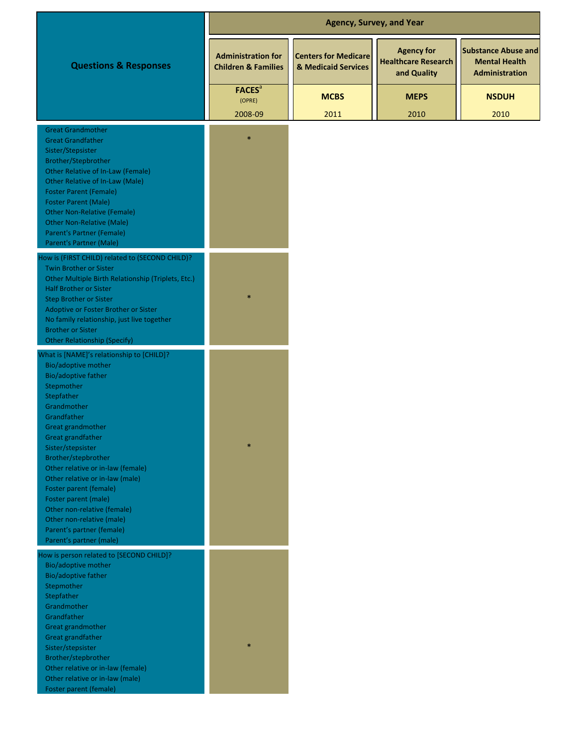|                                                                                                                                                                                                                                                                                                                                                                                                                                                                                                     |                                                             | <b>Agency, Survey, and Year</b>                    |                                                                |                                                                             |
|-----------------------------------------------------------------------------------------------------------------------------------------------------------------------------------------------------------------------------------------------------------------------------------------------------------------------------------------------------------------------------------------------------------------------------------------------------------------------------------------------------|-------------------------------------------------------------|----------------------------------------------------|----------------------------------------------------------------|-----------------------------------------------------------------------------|
| <b>Questions &amp; Responses</b>                                                                                                                                                                                                                                                                                                                                                                                                                                                                    | <b>Administration for</b><br><b>Children &amp; Families</b> | <b>Centers for Medicare</b><br>& Medicaid Services | <b>Agency for</b><br><b>Healthcare Research</b><br>and Quality | <b>Substance Abuse and</b><br><b>Mental Health</b><br><b>Administration</b> |
|                                                                                                                                                                                                                                                                                                                                                                                                                                                                                                     | <b>FACES</b> <sup>a</sup><br>(OPRE)                         | <b>MCBS</b>                                        | <b>MEPS</b>                                                    | <b>NSDUH</b>                                                                |
|                                                                                                                                                                                                                                                                                                                                                                                                                                                                                                     | 2008-09                                                     | 2011                                               | 2010                                                           | 2010                                                                        |
| <b>Great Grandmother</b><br><b>Great Grandfather</b><br>Sister/Stepsister<br>Brother/Stepbrother<br><b>Other Relative of In-Law (Female)</b><br>Other Relative of In-Law (Male)<br><b>Foster Parent (Female)</b><br><b>Foster Parent (Male)</b><br><b>Other Non-Relative (Female)</b><br><b>Other Non-Relative (Male)</b><br><b>Parent's Partner (Female)</b><br>Parent's Partner (Male)                                                                                                            | $\ast$                                                      |                                                    |                                                                |                                                                             |
| How is (FIRST CHILD) related to (SECOND CHILD)?<br>Twin Brother or Sister<br>Other Multiple Birth Relationship (Triplets, Etc.)<br><b>Half Brother or Sister</b><br><b>Step Brother or Sister</b><br>Adoptive or Foster Brother or Sister<br>No family relationship, just live together<br><b>Brother or Sister</b><br><b>Other Relationship (Specify)</b>                                                                                                                                          |                                                             |                                                    |                                                                |                                                                             |
| What is [NAME]'s relationship to [CHILD]?<br>Bio/adoptive mother<br><b>Bio/adoptive father</b><br>Stepmother<br>Stepfather<br>Grandmother<br>Grandfather<br>Great grandmother<br><b>Great grandfather</b><br>Sister/stepsister<br>Brother/stepbrother<br>Other relative or in-law (female)<br>Other relative or in-law (male)<br>Foster parent (female)<br>Foster parent (male)<br>Other non-relative (female)<br>Other non-relative (male)<br>Parent's partner (female)<br>Parent's partner (male) | $\ast$                                                      |                                                    |                                                                |                                                                             |
| How is person related to [SECOND CHILD]?<br>Bio/adoptive mother<br>Bio/adoptive father<br>Stepmother<br>Stepfather<br>Grandmother<br>Grandfather<br>Great grandmother<br>Great grandfather<br>Sister/stepsister<br>Brother/stepbrother<br>Other relative or in-law (female)<br>Other relative or in-law (male)<br>Foster parent (female)                                                                                                                                                            | $\ast$                                                      |                                                    |                                                                |                                                                             |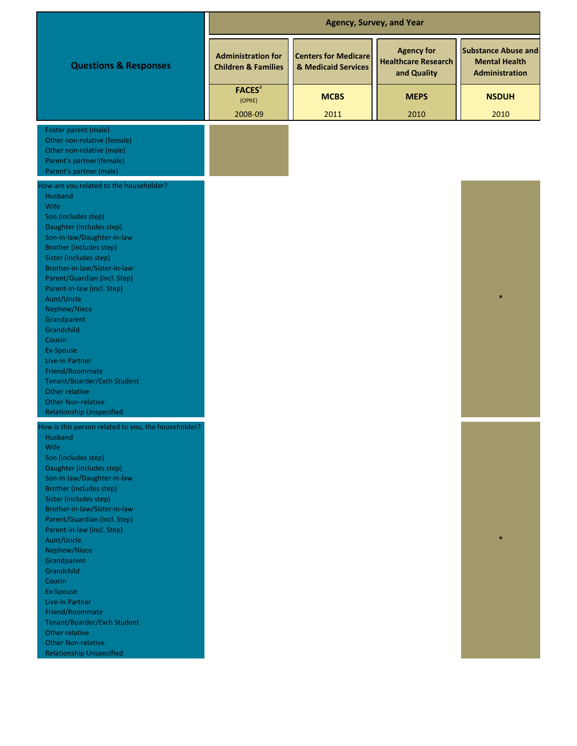|                                                                                                                                                                                                                                                                                                                                                                                                                                                                                                                                                                   |                                                             | <b>Agency, Survey, and Year</b>                    |                                                                |                                                                             |
|-------------------------------------------------------------------------------------------------------------------------------------------------------------------------------------------------------------------------------------------------------------------------------------------------------------------------------------------------------------------------------------------------------------------------------------------------------------------------------------------------------------------------------------------------------------------|-------------------------------------------------------------|----------------------------------------------------|----------------------------------------------------------------|-----------------------------------------------------------------------------|
| <b>Questions &amp; Responses</b>                                                                                                                                                                                                                                                                                                                                                                                                                                                                                                                                  | <b>Administration for</b><br><b>Children &amp; Families</b> | <b>Centers for Medicare</b><br>& Medicaid Services | <b>Agency for</b><br><b>Healthcare Research</b><br>and Quality | <b>Substance Abuse and</b><br><b>Mental Health</b><br><b>Administration</b> |
|                                                                                                                                                                                                                                                                                                                                                                                                                                                                                                                                                                   | <b>FACES</b> <sup>a</sup><br>(OPRE)                         | <b>MCBS</b>                                        | <b>MEPS</b>                                                    | <b>NSDUH</b>                                                                |
|                                                                                                                                                                                                                                                                                                                                                                                                                                                                                                                                                                   | 2008-09                                                     | 2011                                               | 2010                                                           | 2010                                                                        |
| Foster parent (male)<br>Other non-relative (female)<br>Other non-relative (male)<br>Parent's partner (female)<br>Parent's partner (male)                                                                                                                                                                                                                                                                                                                                                                                                                          |                                                             |                                                    |                                                                |                                                                             |
| How are you related to the householder?<br>Husband<br>Wife<br>Son (includes step)<br>Daughter (includes step)<br>Son-in-law/Daughter-in-law<br><b>Brother (includes step)</b><br>Sister (includes step)<br>Brother-in-law/Sister-in-law<br>Parent/Guardian (incl. Step)<br>Parent-in-law (incl. Step)<br>Aunt/Uncle<br>Nephew/Niece<br>Grandparent<br>Grandchild<br>Cousin<br>Ex-Spouse<br>Live-in Partner<br>Friend/Roommate<br>Tenant/Boarder/Exch Student<br>Other relative<br><b>Other Non-relative</b><br><b>Relationship Unspecified</b>                    |                                                             |                                                    |                                                                |                                                                             |
| How is this person related to you, the householder?<br>Husband<br><b>Wife</b><br>Son (includes step)<br>Daughter (includes step)<br>Son-in-law/Daughter-in-law<br><b>Brother (includes step)</b><br>Sister (includes step)<br>Brother-in-law/Sister-in-law<br>Parent/Guardian (incl. Step)<br>Parent-in-law (incl. Step)<br>Aunt/Uncle<br>Nephew/Niece<br>Grandparent<br>Grandchild<br>Cousin<br>Ex-Spouse<br>Live-in Partner<br>Friend/Roommate<br>Tenant/Boarder/Exch Student<br>Other relative<br><b>Other Non-relative</b><br><b>Relationship Unspecified</b> |                                                             |                                                    |                                                                |                                                                             |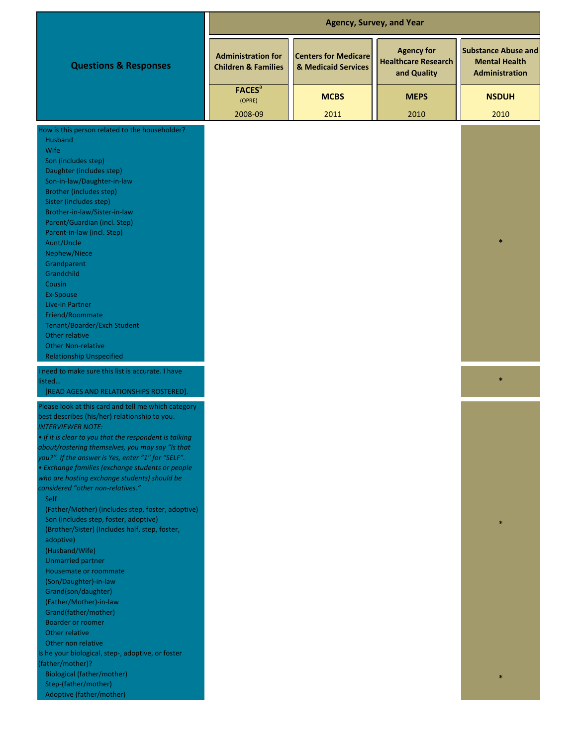|                                                                                                                                                                                                                                                                                                                                                                                                                                                                                                                                                                                                                                                                                                                                                                                                                                                                                                                             | <b>Agency, Survey, and Year</b>                             |                                                    |                                                                |                                                                             |  |
|-----------------------------------------------------------------------------------------------------------------------------------------------------------------------------------------------------------------------------------------------------------------------------------------------------------------------------------------------------------------------------------------------------------------------------------------------------------------------------------------------------------------------------------------------------------------------------------------------------------------------------------------------------------------------------------------------------------------------------------------------------------------------------------------------------------------------------------------------------------------------------------------------------------------------------|-------------------------------------------------------------|----------------------------------------------------|----------------------------------------------------------------|-----------------------------------------------------------------------------|--|
| <b>Questions &amp; Responses</b>                                                                                                                                                                                                                                                                                                                                                                                                                                                                                                                                                                                                                                                                                                                                                                                                                                                                                            | <b>Administration for</b><br><b>Children &amp; Families</b> | <b>Centers for Medicare</b><br>& Medicaid Services | <b>Agency for</b><br><b>Healthcare Research</b><br>and Quality | <b>Substance Abuse and</b><br><b>Mental Health</b><br><b>Administration</b> |  |
|                                                                                                                                                                                                                                                                                                                                                                                                                                                                                                                                                                                                                                                                                                                                                                                                                                                                                                                             | <b>FACES</b> <sup>a</sup><br>(OPRE)                         | <b>MCBS</b>                                        | <b>MEPS</b>                                                    | <b>NSDUH</b>                                                                |  |
|                                                                                                                                                                                                                                                                                                                                                                                                                                                                                                                                                                                                                                                                                                                                                                                                                                                                                                                             | 2008-09                                                     | 2011                                               | 2010                                                           | 2010                                                                        |  |
| How is this person related to the householder?<br>Husband<br><b>Wife</b><br>Son (includes step)<br>Daughter (includes step)<br>Son-in-law/Daughter-in-law<br><b>Brother (includes step)</b><br>Sister (includes step)<br>Brother-in-law/Sister-in-law<br>Parent/Guardian (incl. Step)<br>Parent-in-law (incl. Step)<br>Aunt/Uncle<br>Nephew/Niece<br>Grandparent<br>Grandchild<br>Cousin<br>Ex-Spouse                                                                                                                                                                                                                                                                                                                                                                                                                                                                                                                       |                                                             |                                                    |                                                                |                                                                             |  |
| Live-in Partner<br>Friend/Roommate<br>Tenant/Boarder/Exch Student<br>Other relative<br><b>Other Non-relative</b><br><b>Relationship Unspecified</b>                                                                                                                                                                                                                                                                                                                                                                                                                                                                                                                                                                                                                                                                                                                                                                         |                                                             |                                                    |                                                                |                                                                             |  |
| I need to make sure this list is accurate. I have<br>listed<br>[READ AGES AND RELATIONSHIPS ROSTERED].                                                                                                                                                                                                                                                                                                                                                                                                                                                                                                                                                                                                                                                                                                                                                                                                                      |                                                             |                                                    |                                                                | $\ast$                                                                      |  |
| Please look at this card and tell me which category<br>best describes (his/her) relationship to you.<br><b>INTERVIEWER NOTE:</b><br>. If it is clear to you that the respondent is talking<br>about/rostering themselves, you may say "Is that<br>you?". If the answer is Yes, enter "1" for "SELF".<br>· Exchange families (exchange students or people<br>who are hosting exchange students) should be<br>considered "other non-relatives."<br><b>Self</b><br>(Father/Mother) (includes step, foster, adoptive)<br>Son (includes step, foster, adoptive)<br>(Brother/Sister) (Includes half, step, foster,<br>adoptive)<br>(Husband/Wife)<br><b>Unmarried partner</b><br>Housemate or roommate<br>(Son/Daughter)-in-law<br>Grand(son/daughter)<br>(Father/Mother)-in-law<br>Grand(father/mother)<br><b>Boarder or roomer</b><br>Other relative<br>Other non relative<br>Is he your biological, step-, adoptive, or foster |                                                             |                                                    |                                                                |                                                                             |  |
| (father/mother)?<br><b>Biological (father/mother)</b><br>Step-(father/mother)<br>Adoptive (father/mother)                                                                                                                                                                                                                                                                                                                                                                                                                                                                                                                                                                                                                                                                                                                                                                                                                   |                                                             |                                                    |                                                                |                                                                             |  |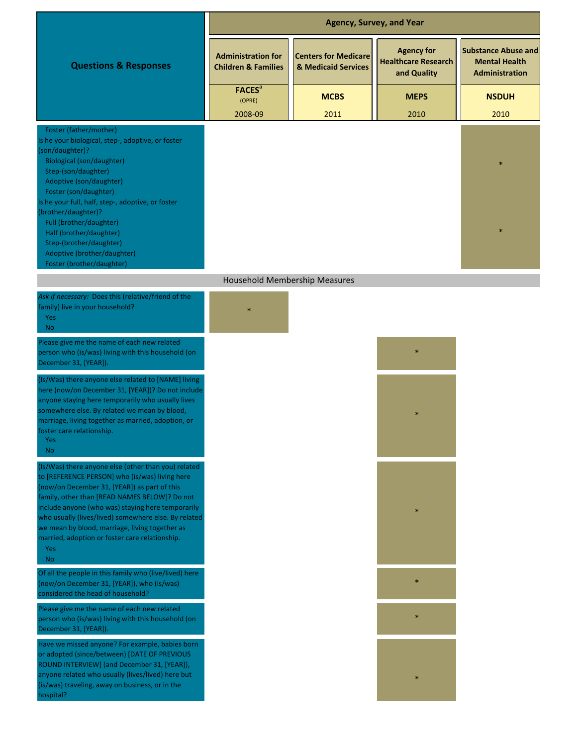|                                                                                                                                                                                                                                                                                                                                                                                                                                                         |                                                             | <b>Agency, Survey, and Year</b>                    |                                                                |                                                                             |
|---------------------------------------------------------------------------------------------------------------------------------------------------------------------------------------------------------------------------------------------------------------------------------------------------------------------------------------------------------------------------------------------------------------------------------------------------------|-------------------------------------------------------------|----------------------------------------------------|----------------------------------------------------------------|-----------------------------------------------------------------------------|
| <b>Questions &amp; Responses</b>                                                                                                                                                                                                                                                                                                                                                                                                                        | <b>Administration for</b><br><b>Children &amp; Families</b> | <b>Centers for Medicare</b><br>& Medicaid Services | <b>Agency for</b><br><b>Healthcare Research</b><br>and Quality | <b>Substance Abuse and</b><br><b>Mental Health</b><br><b>Administration</b> |
|                                                                                                                                                                                                                                                                                                                                                                                                                                                         | <b>FACES</b> <sup>a</sup><br>(OPRE)                         | <b>MCBS</b>                                        | <b>MEPS</b>                                                    | <b>NSDUH</b>                                                                |
|                                                                                                                                                                                                                                                                                                                                                                                                                                                         | 2008-09                                                     | 2011                                               | 2010                                                           | 2010                                                                        |
| Foster (father/mother)<br>Is he your biological, step-, adoptive, or foster<br>(son/daughter)?<br><b>Biological (son/daughter)</b><br>Step-(son/daughter)<br>Adoptive (son/daughter)<br>Foster (son/daughter)<br>Is he your full, half, step-, adoptive, or foster<br>(brother/daughter)?<br>Full (brother/daughter)<br>Half (brother/daughter)<br>Step-(brother/daughter)<br>Adoptive (brother/daughter)<br>Foster (brother/daughter)                  |                                                             |                                                    |                                                                |                                                                             |
|                                                                                                                                                                                                                                                                                                                                                                                                                                                         | Household Membership Measures                               |                                                    |                                                                |                                                                             |
| Ask if necessary: Does this (relative/friend of the<br>family) live in your household?<br><b>Yes</b><br>No.                                                                                                                                                                                                                                                                                                                                             |                                                             |                                                    |                                                                |                                                                             |
| Please give me the name of each new related<br>person who (is/was) living with this household (on<br>December 31, [YEAR]).                                                                                                                                                                                                                                                                                                                              |                                                             |                                                    |                                                                |                                                                             |
| (Is/Was) there anyone else related to [NAME] living<br>here (now/on December 31, [YEAR])? Do not include<br>anyone staying here temporarily who usually lives<br>somewhere else. By related we mean by blood,<br>marriage, living together as married, adoption, or<br>foster care relationship.<br>Yes<br>N <sub>o</sub>                                                                                                                               |                                                             |                                                    |                                                                |                                                                             |
| (Is/Was) there anyone else (other than you) related<br>to [REFERENCE PERSON] who (is/was) living here<br>(now/on December 31, [YEAR]) as part of this<br>family, other than [READ NAMES BELOW]? Do not<br>include anyone (who was) staying here temporarily<br>who usually (lives/lived) somewhere else. By related<br>we mean by blood, marriage, living together as<br>married, adoption or foster care relationship.<br><b>Yes</b><br>N <sub>o</sub> |                                                             |                                                    |                                                                |                                                                             |
| Of all the people in this family who (live/lived) here<br>(now/on December 31, [YEAR]), who (is/was)<br>considered the head of household?                                                                                                                                                                                                                                                                                                               |                                                             |                                                    | $\ast$                                                         |                                                                             |
| Please give me the name of each new related<br>person who (is/was) living with this household (on<br>December 31, [YEAR]).                                                                                                                                                                                                                                                                                                                              |                                                             |                                                    | $\ast$                                                         |                                                                             |
| Have we missed anyone? For example, babies born<br>or adopted (since/between) [DATE OF PREVIOUS<br>ROUND INTERVIEW] (and December 31, [YEAR]),<br>anyone related who usually (lives/lived) here but<br>(is/was) traveling, away on business, or in the<br>hospital?                                                                                                                                                                                     |                                                             |                                                    |                                                                |                                                                             |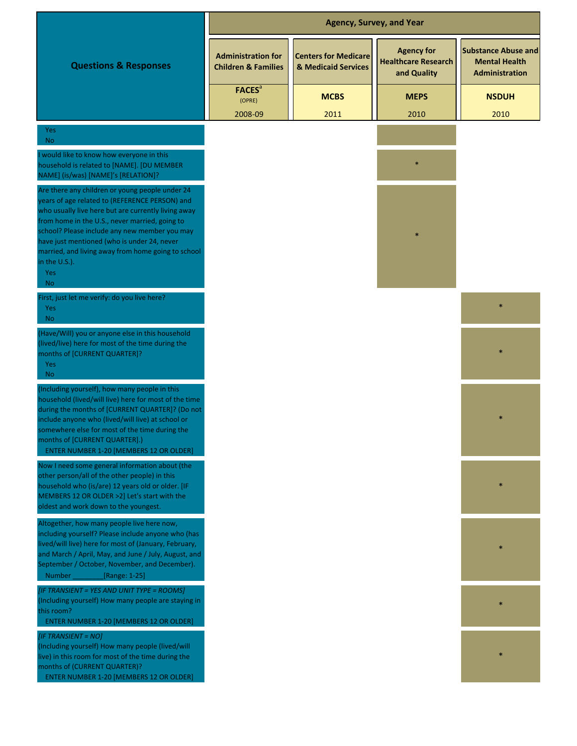|                                                                                                                                                                                                                                                                                                                                                                                                       |                                                             | <b>Agency, Survey, and Year</b>                    |                                                                |                                                                      |
|-------------------------------------------------------------------------------------------------------------------------------------------------------------------------------------------------------------------------------------------------------------------------------------------------------------------------------------------------------------------------------------------------------|-------------------------------------------------------------|----------------------------------------------------|----------------------------------------------------------------|----------------------------------------------------------------------|
| <b>Questions &amp; Responses</b>                                                                                                                                                                                                                                                                                                                                                                      | <b>Administration for</b><br><b>Children &amp; Families</b> | <b>Centers for Medicare</b><br>& Medicaid Services | <b>Agency for</b><br><b>Healthcare Research</b><br>and Quality | <b>Substance Abuse and</b><br><b>Mental Health</b><br>Administration |
|                                                                                                                                                                                                                                                                                                                                                                                                       | <b>FACES</b> <sup>a</sup><br>(OPRE)                         | <b>MCBS</b>                                        | <b>MEPS</b>                                                    | <b>NSDUH</b>                                                         |
| Yes<br><b>No</b>                                                                                                                                                                                                                                                                                                                                                                                      | 2008-09                                                     | 2011                                               | 2010                                                           | 2010                                                                 |
| would like to know how everyone in this<br>household is related to [NAME]. [DU MEMBER<br>NAME] (is/was) [NAME]'s [RELATION]?                                                                                                                                                                                                                                                                          |                                                             |                                                    |                                                                |                                                                      |
| Are there any children or young people under 24<br>years of age related to (REFERENCE PERSON) and<br>who usually live here but are currently living away<br>from home in the U.S., never married, going to<br>school? Please include any new member you may<br>have just mentioned (who is under 24, never<br>married, and living away from home going to school<br>in the U.S.).<br>Yes<br><b>No</b> |                                                             |                                                    |                                                                |                                                                      |
| First, just let me verify: do you live here?<br>Yes<br><b>No</b>                                                                                                                                                                                                                                                                                                                                      |                                                             |                                                    |                                                                |                                                                      |
| (Have/Will) you or anyone else in this household<br>(lived/live) here for most of the time during the<br>months of [CURRENT QUARTER]?<br>Yes<br><b>No</b>                                                                                                                                                                                                                                             |                                                             |                                                    |                                                                |                                                                      |
| (Including yourself), how many people in this<br>household (lived/will live) here for most of the time<br>during the months of [CURRENT QUARTER]? (Do not<br>include anyone who (lived/will live) at school or<br>somewhere else for most of the time during the<br>months of [CURRENT QUARTER].)<br><b>ENTER NUMBER 1-20 [MEMBERS 12 OR OLDER]</b>                                                   |                                                             |                                                    |                                                                |                                                                      |
| Now I need some general information about (the<br>other person/all of the other people) in this<br>household who (is/are) 12 years old or older. [IF<br>MEMBERS 12 OR OLDER >2] Let's start with the<br>oldest and work down to the youngest.                                                                                                                                                         |                                                             |                                                    |                                                                |                                                                      |
| Altogether, how many people live here now,<br>including yourself? Please include anyone who (has<br>lived/will live) here for most of (January, February,<br>and March / April, May, and June / July, August, and<br>September / October, November, and December).<br>Number<br>[Range: 1-25]                                                                                                         |                                                             |                                                    |                                                                |                                                                      |
| [IF TRANSIENT = YES AND UNIT TYPE = ROOMS]<br>(Including yourself) How many people are staying in<br>this room?<br><b>ENTER NUMBER 1-20 [MEMBERS 12 OR OLDER]</b>                                                                                                                                                                                                                                     |                                                             |                                                    |                                                                |                                                                      |
| [IF TRANSIENT = NO]<br>(Including yourself) How many people (lived/will<br>live) in this room for most of the time during the<br>months of (CURRENT QUARTER)?<br><b>ENTER NUMBER 1-20 [MEMBERS 12 OR OLDER]</b>                                                                                                                                                                                       |                                                             |                                                    |                                                                |                                                                      |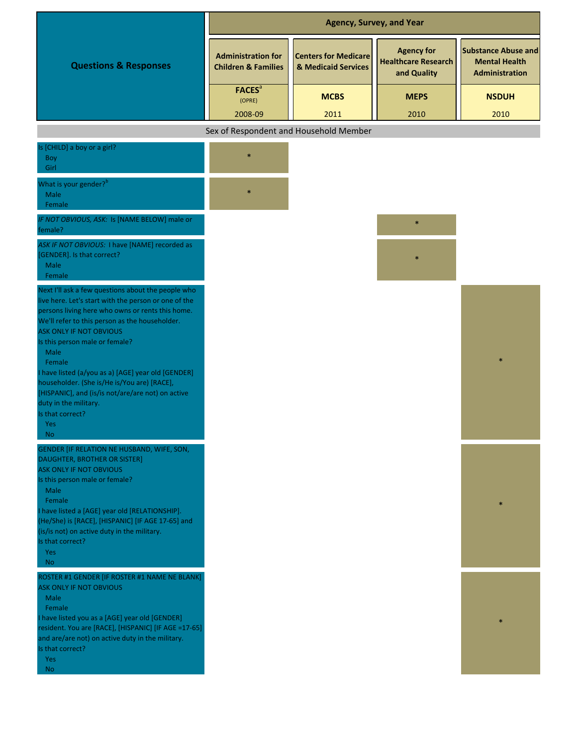|                                                                                                                                                                                                                                                                                              | <b>Agency, Survey, and Year</b>                             |                                                    |                                                                |                                                                             |  |
|----------------------------------------------------------------------------------------------------------------------------------------------------------------------------------------------------------------------------------------------------------------------------------------------|-------------------------------------------------------------|----------------------------------------------------|----------------------------------------------------------------|-----------------------------------------------------------------------------|--|
| <b>Questions &amp; Responses</b>                                                                                                                                                                                                                                                             | <b>Administration for</b><br><b>Children &amp; Families</b> | <b>Centers for Medicare</b><br>& Medicaid Services | <b>Agency for</b><br><b>Healthcare Research</b><br>and Quality | <b>Substance Abuse and</b><br><b>Mental Health</b><br><b>Administration</b> |  |
|                                                                                                                                                                                                                                                                                              | <b>FACES</b> <sup>a</sup><br>(OPRE)<br>2008-09              | <b>MCBS</b><br>2011                                | <b>MEPS</b><br>2010                                            | <b>NSDUH</b><br>2010                                                        |  |
|                                                                                                                                                                                                                                                                                              | Sex of Respondent and Household Member                      |                                                    |                                                                |                                                                             |  |
| Is [CHILD] a boy or a girl?<br>Boy<br>Girl                                                                                                                                                                                                                                                   |                                                             |                                                    |                                                                |                                                                             |  |
| What is your gender? <sup>b</sup><br>Male<br>Female                                                                                                                                                                                                                                          |                                                             |                                                    |                                                                |                                                                             |  |
| IF NOT OBVIOUS, ASK: Is [NAME BELOW] male or<br>female?                                                                                                                                                                                                                                      |                                                             |                                                    | $\ast$                                                         |                                                                             |  |
| ASK IF NOT OBVIOUS: I have [NAME] recorded as<br>[GENDER]. Is that correct?<br>Male<br>Female                                                                                                                                                                                                |                                                             |                                                    |                                                                |                                                                             |  |
| Next I'll ask a few questions about the people who<br>live here. Let's start with the person or one of the<br>persons living here who owns or rents this home.<br>We'll refer to this person as the householder.<br><b>ASK ONLY IF NOT OBVIOUS</b><br>Is this person male or female?<br>Male |                                                             |                                                    |                                                                |                                                                             |  |
| Female<br>I have listed (a/you as a) [AGE] year old [GENDER]<br>householder. (She is/He is/You are) [RACE],<br>[HISPANIC], and (is/is not/are/are not) on active<br>duty in the military.<br>Is that correct?<br><b>Yes</b>                                                                  |                                                             |                                                    |                                                                |                                                                             |  |
| No.<br>GENDER [IF RELATION NE HUSBAND, WIFE, SON,<br><b>DAUGHTER, BROTHER OR SISTER]</b>                                                                                                                                                                                                     |                                                             |                                                    |                                                                |                                                                             |  |
| <b>ASK ONLY IF NOT OBVIOUS</b><br>Is this person male or female?<br>Male<br>Female                                                                                                                                                                                                           |                                                             |                                                    |                                                                |                                                                             |  |
| I have listed a [AGE] year old [RELATIONSHIP].<br>(He/She) is [RACE], [HISPANIC] [IF AGE 17-65] and<br>(is/is not) on active duty in the military.<br>Is that correct?<br><b>Yes</b><br><b>No</b>                                                                                            |                                                             |                                                    |                                                                |                                                                             |  |
| ROSTER #1 GENDER [IF ROSTER #1 NAME NE BLANK]<br><b>ASK ONLY IF NOT OBVIOUS</b><br>Male                                                                                                                                                                                                      |                                                             |                                                    |                                                                |                                                                             |  |

\*

Female

Is that correct? I have listed you as a [AGE] year old [GENDER] resident. You are [RACE], [HISPANIC] [IF AGE =17-65] and are/are not) on active duty in the military.

Yes No